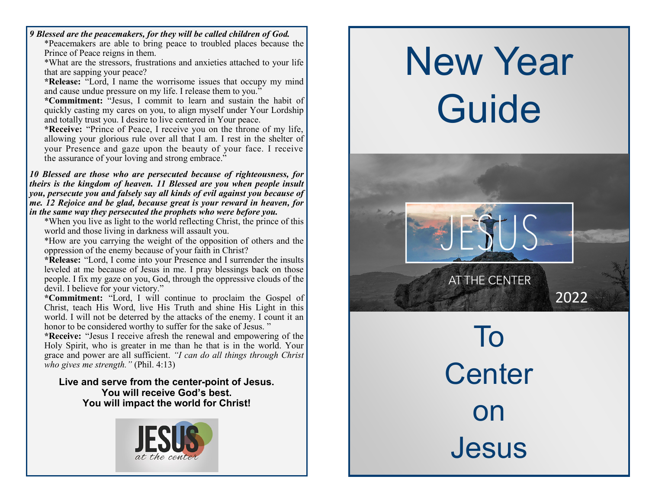*9 Blessed are the peacemakers, for they will be called children of God.* \*Peacemakers are able to bring peace to troubled places because the Prince of Peace reigns in them.

\*What are the stressors, frustrations and anxieties attached to your life that are sapping your peace?

**\*Release:** "Lord, I name the worrisome issues that occupy my mind and cause undue pressure on my life. I release them to you."

**\*Commitment:** "Jesus, I commit to learn and sustain the habit of quickly casting my cares on you, to align myself under Your Lordship and totally trust you. I desire to live centered in Your peace.

**\*Receive:** "Prince of Peace, I receive you on the throne of my life, allowing your glorious rule over all that I am. I rest in the shelter of your Presence and gaze upon the beauty of your face. I receive the assurance of your loving and strong embrace."

*10 Blessed are those who are persecuted because of righteousness, for theirs is the kingdom of heaven. 11 Blessed are you when people insult you, persecute you and falsely say all kinds of evil against you because of me. 12 Rejoice and be glad, because great is your reward in heaven, for in the same way they persecuted the prophets who were before you.*

\*When you live as light to the world reflecting Christ, the prince of this world and those living in darkness will assault you.

\*How are you carrying the weight of the opposition of others and the oppression of the enemy because of your faith in Christ?

**\*Release:** "Lord, I come into your Presence and I surrender the insults leveled at me because of Jesus in me. I pray blessings back on those people. I fix my gaze on you, God, through the oppressive clouds of the devil. I believe for your victory."

**\*Commitment:** "Lord, I will continue to proclaim the Gospel of Christ, teach His Word, live His Truth and shine His Light in this world. I will not be deterred by the attacks of the enemy. I count it an honor to be considered worthy to suffer for the sake of Jesus. "

**\*Receive:** "Jesus I receive afresh the renewal and empowering of the Holy Spirit, who is greater in me than he that is in the world. Your grace and power are all sufficient. *"I can do all things through Christ who gives me strength."* (Phil. 4:13)

#### **Live and serve from the center-point of Jesus. You will receive God's best. You will impact the world for Christ!**



# New Year Guide



To **Center** on **Jesus**